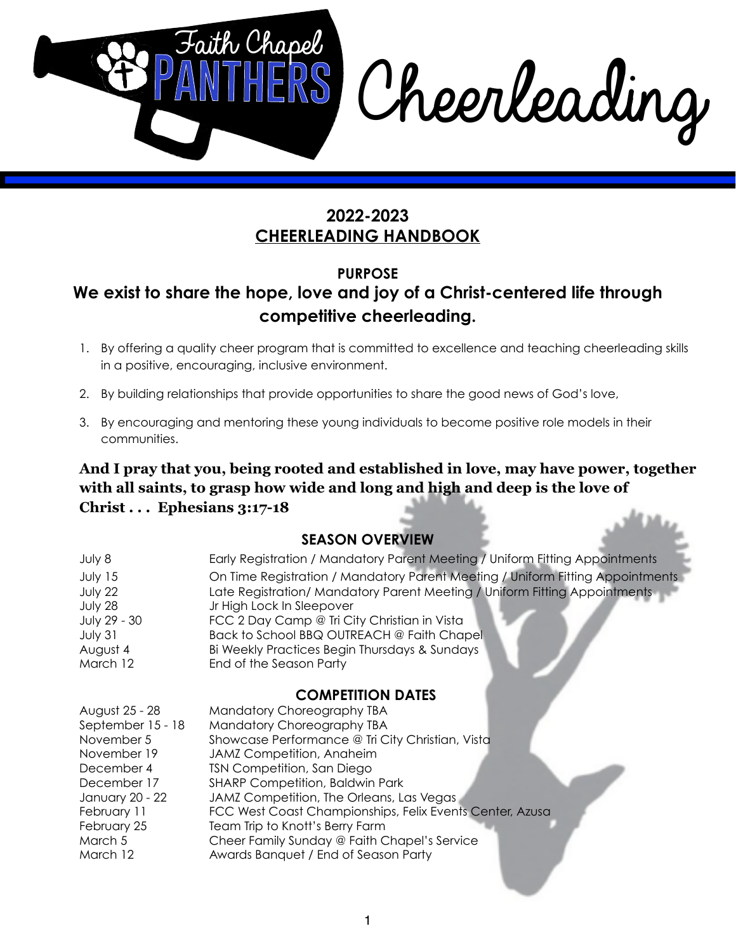

# **PURPOSE We exist to share the hope, love and joy of a Christ-centered life through competitive cheerleading.**

- 1. By offering a quality cheer program that is committed to excellence and teaching cheerleading skills in a positive, encouraging, inclusive environment.
- 2. By building relationships that provide opportunities to share the good news of God's love,
- 3. By encouraging and mentoring these young individuals to become positive role models in their communities.

**And I pray that you, being rooted and established in love, may have power, together with all saints, to grasp how wide and long and high and deep is the love of Christ . . . Ephesians 3:17-18**

#### **SEASON OVERVIEW**

| July 8              | Early Registration / Mandatory Parent Meeting / Uniform Eitting Appointments                            |
|---------------------|---------------------------------------------------------------------------------------------------------|
| July 15             | On Time Registration / Mandatory Parent Meeting / Uniform Fitting Appointments                          |
| July 22<br>July 28  | Late Registration/ Mandatory Parent Meeting / Uniform Fitting Appointments<br>Jr High Lock In Sleepover |
| July 29 - 30        | FCC 2 Day Camp @ Tri City Christian in Vista                                                            |
| July 31<br>August 4 | Back to School BBQ OUTREACH @ Faith Chapel<br>Bi Weekly Practices Begin Thursdays & Sundays             |
| March 12            | End of the Season Party                                                                                 |

#### **COMPETITION DATES**

| August 25 - 28    | Mandatory Choreography TBA                               |
|-------------------|----------------------------------------------------------|
| September 15 - 18 | Mandatory Choreography TBA                               |
| November 5        | Showcase Performance @ Tri City Christian, Vista         |
| November 19       | JAMZ Competition, Anaheim                                |
| December 4        | <b>TSN Competition, San Diego</b>                        |
| December 17       | <b>SHARP Competition, Baldwin Park</b>                   |
| January 20 - 22   | JAMZ Competition, The Orleans, Las Vegas                 |
| February 11       | FCC West Coast Championships, Felix Events Center, Azusa |
| February 25       | Team Trip to Knott's Berry Farm                          |
| March 5           | Cheer Family Sunday @ Faith Chapel's Service             |
| March 12          | Awards Banquet / End of Season Party                     |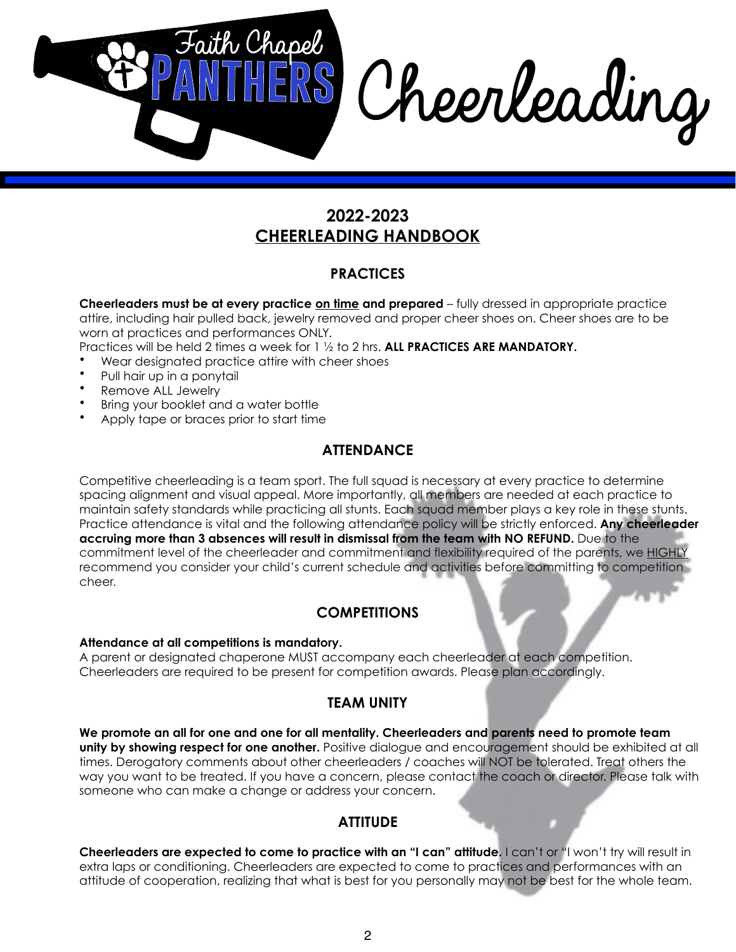

#### **PRACTICES**

**Cheerleaders must be at every practice on time and prepared** – fully dressed in appropriate practice attire, including hair pulled back, jewelry removed and proper cheer shoes on. Cheer shoes are to be worn at practices and performances ONLY.

Practices will be held 2 times a week for 1 ½ to 2 hrs. **ALL PRACTICES ARE MANDATORY.**

- Wear designated practice attire with cheer shoes
- Pull hair up in a ponytail
- Remove ALL Jewelry
- Bring your booklet and a water bottle
- Apply tape or braces prior to start time

#### **ATTENDANCE**

Competitive cheerleading is a team sport. The full squad is necessary at every practice to determine spacing alignment and visual appeal. More importantly, all members are needed at each practice to maintain safety standards while practicing all stunts. Each squad member plays a key role in these stunts. Practice attendance is vital and the following attendance policy will be strictly enforced. **Any cheerleader accruing more than 3 absences will result in dismissal from the team with NO REFUND.** Due to the commitment level of the cheerleader and commitment and flexibility required of the parents, we HIGHLY recommend you consider your child's current schedule and activities before committing to competition cheer.

## **COMPETITIONS**

#### **Attendance at all competitions is mandatory.**

A parent or designated chaperone MUST accompany each cheerleader at each competition. Cheerleaders are required to be present for competition awards. Please plan accordingly.

## **TEAM UNITY**

**We promote an all for one and one for all mentality. Cheerleaders and parents need to promote team unity by showing respect for one another.** Positive dialogue and encouragement should be exhibited at all times. Derogatory comments about other cheerleaders / coaches will NOT be tolerated. Treat others the way you want to be treated. If you have a concern, please contact the coach or director. Please talk with someone who can make a change or address your concern.

## **ATTITUDE**

**Cheerleaders are expected to come to practice with an "I can" attitude.** I can't or "I won't try will result in extra laps or conditioning. Cheerleaders are expected to come to practices and performances with an attitude of cooperation, realizing that what is best for you personally may not be best for the whole team.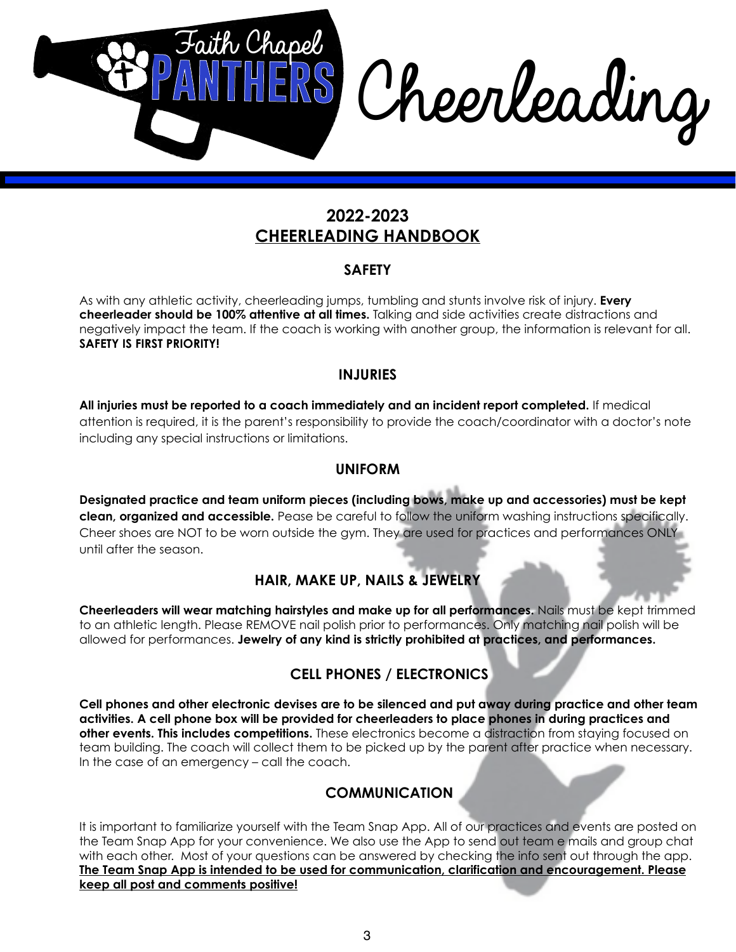

#### **SAFETY**

As with any athletic activity, cheerleading jumps, tumbling and stunts involve risk of injury. **Every cheerleader should be 100% attentive at all times.** Talking and side activities create distractions and negatively impact the team. If the coach is working with another group, the information is relevant for all. **SAFETY IS FIRST PRIORITY!**

#### **INJURIES**

**All injuries must be reported to a coach immediately and an incident report completed.** If medical attention is required, it is the parent's responsibility to provide the coach/coordinator with a doctor's note including any special instructions or limitations.

#### **UNIFORM**

**Designated practice and team uniform pieces (including bows, make up and accessories) must be kept clean, organized and accessible.** Pease be careful to follow the uniform washing instructions specifically. Cheer shoes are NOT to be worn outside the gym. They are used for practices and performances ONLY until after the season.

## **HAIR, MAKE UP, NAILS & JEWELRY**

**Cheerleaders will wear matching hairstyles and make up for all performances.** Nails must be kept trimmed to an athletic length. Please REMOVE nail polish prior to performances. Only matching nail polish will be allowed for performances. **Jewelry of any kind is strictly prohibited at practices, and performances.**

## **CELL PHONES / ELECTRONICS**

**Cell phones and other electronic devises are to be silenced and put away during practice and other team activities. A cell phone box will be provided for cheerleaders to place phones in during practices and other events. This includes competitions.** These electronics become a distraction from staying focused on team building. The coach will collect them to be picked up by the parent after practice when necessary. In the case of an emergency – call the coach.

## **COMMUNICATION**

It is important to familiarize yourself with the Team Snap App. All of our practices and events are posted on the Team Snap App for your convenience. We also use the App to send out team e mails and group chat with each other. Most of your questions can be answered by checking the info sent out through the app. **The Team Snap App is intended to be used for communication, clarification and encouragement. Please keep all post and comments positive!**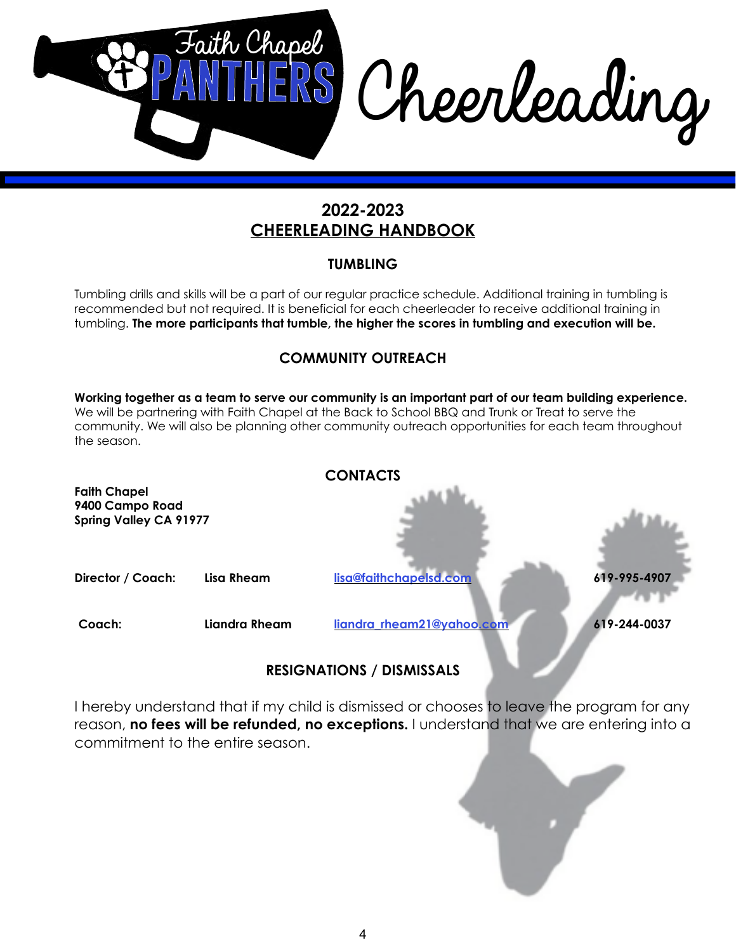

#### **TUMBLING**

Tumbling drills and skills will be a part of our regular practice schedule. Additional training in tumbling is recommended but not required. It is beneficial for each cheerleader to receive additional training in tumbling. **The more participants that tumble, the higher the scores in tumbling and execution will be.**

## **COMMUNITY OUTREACH**

**Working together as a team to serve our community is an important part of our team building experience.**  We will be partnering with Faith Chapel at the Back to School BBQ and Trunk or Treat to serve the community. We will also be planning other community outreach opportunities for each team throughout the season. **CONTACTS**



## **RESIGNATIONS / DISMISSALS**

I hereby understand that if my child is dismissed or chooses to leave the program for any reason, **no fees will be refunded, no exceptions.** I understand that we are entering into a commitment to the entire season.

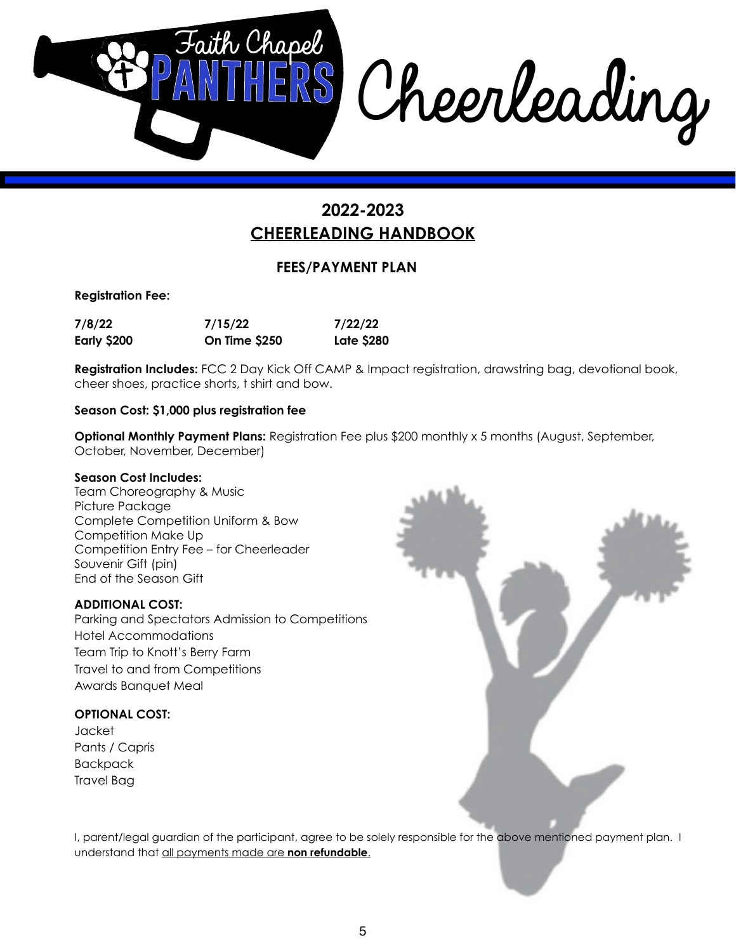

## **FEES/PAYMENT PLAN**

**Registration Fee:**

| 7/8/22      | 7/15/22       | 7/22/22           |
|-------------|---------------|-------------------|
| Early \$200 | On Time \$250 | <b>Late \$280</b> |

**Registration Includes:** FCC 2 Day Kick Off CAMP & Impact registration, drawstring bag, devotional book, cheer shoes, practice shorts, t shirt and bow.

#### **Season Cost: \$1,000 plus registration fee**

**Optional Monthly Payment Plans: Registration Fee plus \$200 monthly x 5 months (August, September,** October, November, December)

#### **Season Cost Includes:**

Team Choreography & Music Picture Package Complete Competition Uniform & Bow Competition Make Up Competition Entry Fee – for Cheerleader Souvenir Gift (pin) End of the Season Gift

#### **ADDITIONAL COST:**

Parking and Spectators Admission to Competitions Hotel Accommodations Team Trip to Knott's Berry Farm Travel to and from Competitions Awards Banquet Meal

#### **OPTIONAL COST:**

Jacket Pants / Capris Backpack Travel Bag



I, parent/legal guardian of the participant, agree to be solely responsible for the above mentioned payment plan. I understand that all payments made are **non refundable**.